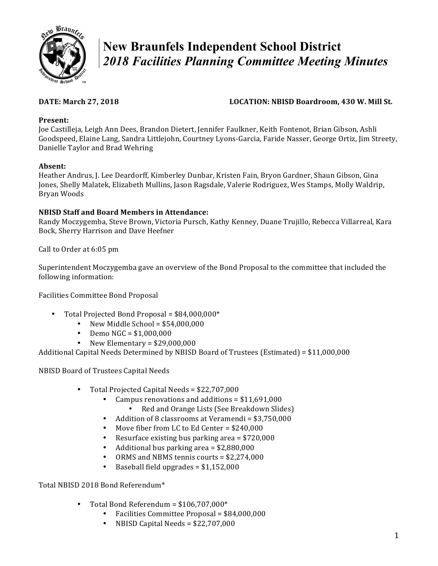

# **New Braunfels Independent School District**  *2018 Facilities Planning Committee Meeting Minutes*

# **DATE: March 27, 2018 LOCATION: NBISD Boardroom, 430 W. Mill St.**

## **Present:**

Joe Castilleja, Leigh Ann Dees, Brandon Dietert, Jennifer Faulkner, Keith Fontenot, Brian Gibson, Ashli Goodspeed, Elaine Lang, Sandra Littlejohn, Courtney Lyons-Garcia, Faride Nasser, George Ortiz, Jim Streety, Danielle Taylor and Brad Wehring

### **Absent:**

Heather Andrus, J. Lee Deardorff, Kimberley Dunbar, Kristen Fain, Bryon Gardner, Shaun Gibson, Gina Jones, Shelly Malatek, Elizabeth Mullins, Jason Ragsdale, Valerie Rodriguez, Wes Stamps, Molly Waldrip, Bryan Woods

### **NBISD Staff and Board Members in Attendance:**

Randy Moczygemba, Steve Brown, Victoria Pursch, Kathy Kenney, Duane Trujillo, Rebecca Villarreal, Kara Bock, Sherry Harrison and Dave Heefner

Call to Order at 6:05 pm

Superintendent Moczygemba gave an overview of the Bond Proposal to the committee that included the following information:

Facilities Committee Bond Proposal

- Total Projected Bond Proposal =  $$84,000,000*$ 
	- New Middle School =  $$54,000,000$
	- Demo  $NGC = $1,000,000$
	- New Elementary =  $$29,000,000$

Additional Capital Needs Determined by NBISD Board of Trustees (Estimated) =  $$11,000,000$ 

NBISD Board of Trustees Capital Needs

- Total Projected Capital Needs = \$22,707,000
	- Campus renovations and additions =  $$11,691,000$
	- Red and Orange Lists (See Breakdown Slides)
	- Addition of 8 classrooms at Veramendi = \$3,750,000
	- Move fiber from LC to Ed Center =  $$240,000$
	- Resurface existing bus parking area =  $$720,000$
	- Additional bus parking area =  $$2,880,000$
	- ORMS and NBMS tennis courts =  $$2,274,000$
	- Baseball field upgrades  $= $1,152,000$

Total NBISD 2018 Bond Referendum\*

- Total Bond Referendum =  $$106,707,000*$ 
	- Facilities Committee Proposal = \$84,000,000
	- NBISD Capital Needs =  $$22,707,000$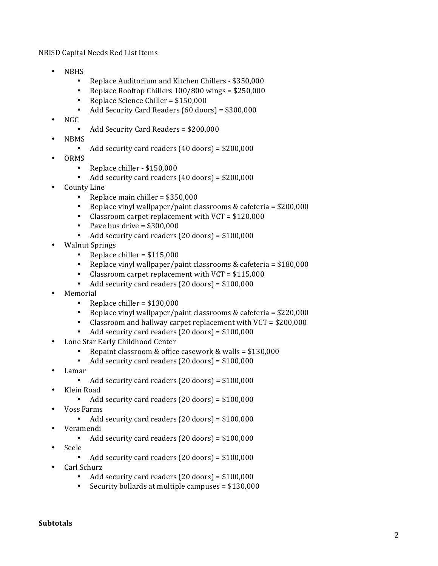NBISD Capital Needs Red List Items

- NBHS
	- Replace Auditorium and Kitchen Chillers \$350,000
	- Replace Rooftop Chillers  $100/800$  wings = \$250,000
	- Replace Science Chiller =  $$150,000$
	- Add Security Card Readers  $(60 \text{ doors}) = $300,000$
- $NGC$ 
	- Add Security Card Readers = \$200,000
- NBMS
	- Add security card readers  $(40 \text{ doors}) = $200,000$
- ORMS
	- Replace chiller \$150,000
	- Add security card readers  $(40 \text{ doors}) = $200,000$
- County Line
	- Replace main chiller =  $$350,000$
	- Replace vinyl wallpaper/paint classrooms  $&$  cafeteria = \$200,000
	- Classroom carpet replacement with  $VCT = $120,000$
	- Pave bus drive  $= $300,000$
	- Add security card readers  $(20 \text{ doors}) = $100,000$
- **Walnut Springs** 
	- Replace chiller =  $$115,000$
	- Replace vinyl wallpaper/paint classrooms  $&$  cafeteria = \$180,000
	- Classroom carpet replacement with  $VCT = $115,000$
	- Add security card readers  $(20 \text{ doors}) = $100,000$
- **Memorial** 
	- Replace chiller =  $$130,000$
	- Replace vinyl wallpaper/paint classrooms  $&$  cafeteria = \$220,000
	- Classroom and hallway carpet replacement with  $VCT = $200,000$
	- Add security card readers  $(20$  doors) = \$100,000
- Lone Star Early Childhood Center
	- Repaint classroom & office casework & walls =  $$130,000$
	- Add security card readers  $(20 \text{ doors}) = $100,000$
- Lamar
	- Add security card readers  $(20$  doors) = \$100,000
- Klein Road
	- Add security card readers  $(20$  doors) = \$100,000
- Voss Farms
	- Add security card readers  $(20$  doors) = \$100,000
- Veramendi
	- Add security card readers  $(20$  doors) = \$100,000
- Seele
	- Add security card readers  $(20 \text{ doors}) = $100,000$
- Carl Schurz
	- Add security card readers  $(20$  doors) = \$100,000
	- Security bollards at multiple campuses  $= $130,000$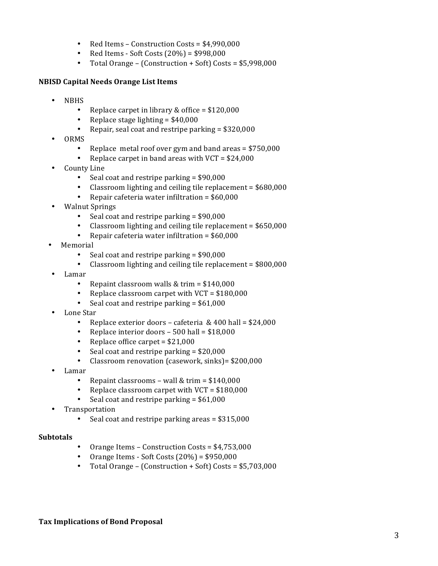- Red Items Construction Costs = \$4,990,000
- Red Items Soft Costs  $(20%) = $998,000$
- Total Orange (Construction  $+$  Soft) Costs = \$5,998,000

#### **NBISD Capital Needs Orange List Items**

- NBHS
	- Replace carpet in library  $&$  office = \$120,000
	- Replace stage lighting  $=$  \$40,000
	- Repair, seal coat and restripe parking  $= $320,000$
- ORMS
	- Replace metal roof over gym and band areas  $=$  \$750,000
	- Replace carpet in band areas with  $VCT = $24,000$
- County Line
	- Seal coat and restripe parking  $=$  \$90,000
	- Classroom lighting and ceiling tile replacement  $= $680,000$
	- Repair cafeteria water infiltration  $=$  \$60,000
- Walnut Springs
	- Seal coat and restripe parking  $=$  \$90,000
	- Classroom lighting and ceiling tile replacement  $=$  \$650,000
	- Repair cafeteria water infiltration  $=$  \$60,000
- **Memorial** 
	- Seal coat and restripe parking  $=$  \$90,000
	- Classroom lighting and ceiling tile replacement  $=$  \$800,000
- Lamar
	- Repaint classroom walls  $&$  trim = \$140,000
	- Replace classroom carpet with  $VCT = $180,000$
	- Seal coat and restripe parking  $=$  \$61,000
- Lone Star
	- Replace exterior doors cafeteria  $& 400$  hall = \$24,000
	- Replace interior doors  $-$  500 hall = \$18,000
	- Replace office carpet  $= $21,000$
	- Seal coat and restripe parking  $=$  \$20,000
	- Classroom renovation (casework, sinks) = \$200,000
- Lamar
	- Repaint classrooms wall & trim =  $$140,000$
	- Replace classroom carpet with  $VCT = $180,000$
	- Seal coat and restripe parking  $=$  \$61,000
- **Transportation** 
	- Seal coat and restripe parking areas  $=$  \$315,000

#### **Subtotals**

- Orange Items Construction Costs =  $$4,753,000$
- Orange Items Soft Costs  $(20%) = $950,000$
- Total Orange (Construction  $+$  Soft) Costs = \$5,703,000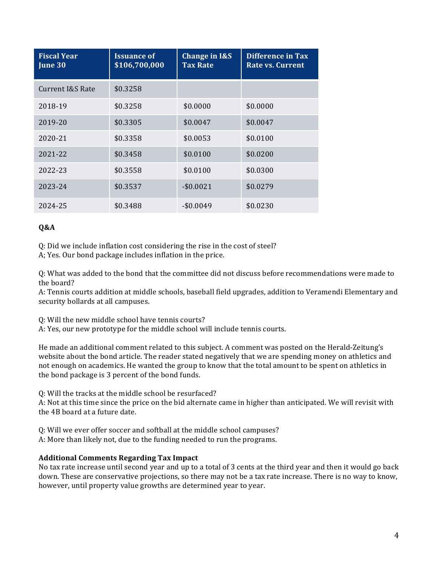| <b>Fiscal Year</b><br>June 30 | <b>Issuance of</b><br>\$106,700,000 | <b>Change in I&amp;S</b><br><b>Tax Rate</b> | <b>Difference in Tax</b><br>Rate vs. Current |
|-------------------------------|-------------------------------------|---------------------------------------------|----------------------------------------------|
| Current I&S Rate              | \$0.3258                            |                                             |                                              |
| 2018-19                       | \$0.3258                            | \$0.0000                                    | \$0.0000                                     |
| 2019-20                       | \$0.3305                            | \$0.0047                                    | \$0.0047                                     |
| 2020-21                       | \$0.3358                            | \$0.0053                                    | \$0.0100                                     |
| 2021-22                       | \$0.3458                            | \$0.0100                                    | \$0.0200                                     |
| 2022-23                       | \$0.3558                            | \$0.0100                                    | \$0.0300                                     |
| 2023-24                       | \$0.3537                            | $-$0.0021$                                  | \$0.0279                                     |
| 2024-25                       | \$0.3488                            | $-$ \$0.0049                                | \$0.0230                                     |

### **Q&A**

Q: Did we include inflation cost considering the rise in the cost of steel?

A; Yes. Our bond package includes inflation in the price.

Q: What was added to the bond that the committee did not discuss before recommendations were made to the board?

A: Tennis courts addition at middle schools, baseball field upgrades, addition to Veramendi Elementary and security bollards at all campuses.

Q: Will the new middle school have tennis courts?

A: Yes, our new prototype for the middle school will include tennis courts.

He made an additional comment related to this subject. A comment was posted on the Herald-Zeitung's website about the bond article. The reader stated negatively that we are spending money on athletics and not enough on academics. He wanted the group to know that the total amount to be spent on athletics in the bond package is 3 percent of the bond funds.

Q: Will the tracks at the middle school be resurfaced?

A: Not at this time since the price on the bid alternate came in higher than anticipated. We will revisit with the 4B board at a future date.

O: Will we ever offer soccer and softball at the middle school campuses?

A: More than likely not, due to the funding needed to run the programs.

#### **Additional Comments Regarding Tax Impact**

No tax rate increase until second year and up to a total of 3 cents at the third year and then it would go back down. These are conservative projections, so there may not be a tax rate increase. There is no way to know, however, until property value growths are determined year to year.